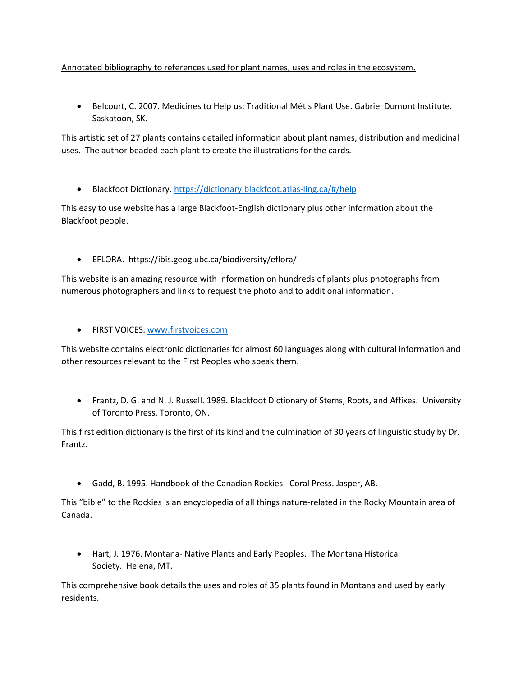## Annotated bibliography to references used for plant names, uses and roles in the ecosystem.

• Belcourt, C. 2007. Medicines to Help us: Traditional Métis Plant Use. Gabriel Dumont Institute. Saskatoon, SK.

This artistic set of 27 plants contains detailed information about plant names, distribution and medicinal uses. The author beaded each plant to create the illustrations for the cards.

• Blackfoot Dictionary[. https://dictionary.blackfoot.atlas-ling.ca/#/help](https://dictionary.blackfoot.atlas-ling.ca/#/help)

This easy to use website has a large Blackfoot-English dictionary plus other information about the Blackfoot people.

• EFLORA. https://ibis.geog.ubc.ca/biodiversity/eflora/

This website is an amazing resource with information on hundreds of plants plus photographs from numerous photographers and links to request the photo and to additional information.

• FIRST VOICES[. www.firstvoices.com](http://www.firstvoices.com/)

This website contains electronic dictionaries for almost 60 languages along with cultural information and other resources relevant to the First Peoples who speak them.

• Frantz, D. G. and N. J. Russell. 1989. Blackfoot Dictionary of Stems, Roots, and Affixes. University of Toronto Press. Toronto, ON.

This first edition dictionary is the first of its kind and the culmination of 30 years of linguistic study by Dr. Frantz.

• Gadd, B. 1995. Handbook of the Canadian Rockies. Coral Press. Jasper, AB.

This "bible" to the Rockies is an encyclopedia of all things nature-related in the Rocky Mountain area of Canada.

• Hart, J. 1976. Montana- Native Plants and Early Peoples. The Montana Historical Society. Helena, MT.

This comprehensive book details the uses and roles of 35 plants found in Montana and used by early residents.